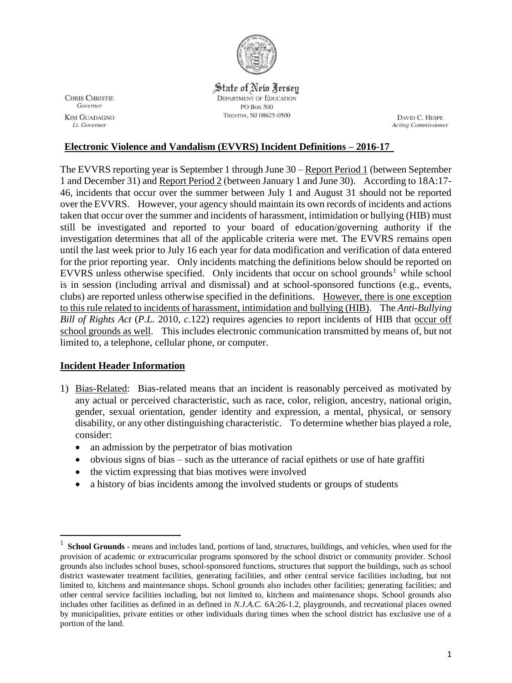

**CHRIS CHRISTIE** Governor **KIM GUADAGNO** Lt. Governor

State of New Jersey **DEPARTMENT OF EDUCATION PO Box 500** TRENTON, NJ 08625-0500

DAVID C. HESPE **Acting Commissioner** 

## **Electronic Violence and Vandalism (EVVRS) Incident Definitions – 2016-17**

The EVVRS reporting year is September 1 through June 30 – Report Period 1 (between September 1 and December 31) and Report Period 2 (between January 1 and June 30). According to 18A:17- 46, incidents that occur over the summer between July 1 and August 31 should not be reported over the EVVRS. However, your agency should maintain its own records of incidents and actions taken that occur over the summer and incidents of harassment, intimidation or bullying (HIB) must still be investigated and reported to your board of education/governing authority if the investigation determines that all of the applicable criteria were met. The EVVRS remains open until the last week prior to July 16 each year for data modification and verification of data entered for the prior reporting year. Only incidents matching the definitions below should be reported on EVVRS unless otherwise specified. Only incidents that occur on school grounds<sup>1</sup> while school is in session (including arrival and dismissal) and at school-sponsored functions (e.g., events, clubs) are reported unless otherwise specified in the definitions. However, there is one exception to this rule related to incidents of harassment, intimidation and bullying (HIB). The *Anti-Bullying Bill of Rights Act* (*P.L.* 2010*, c.*122) requires agencies to report incidents of HIB that occur off school grounds as well. This includes electronic communication transmitted by means of, but not limited to, a telephone, cellular phone, or computer.

## **Incident Header Information**

 $\overline{a}$ 

- 1) Bias-Related: Bias-related means that an incident is reasonably perceived as motivated by any actual or perceived characteristic, such as race, color, religion, ancestry, national origin, gender, sexual orientation, gender identity and expression, a mental, physical, or sensory disability, or any other distinguishing characteristic. To determine whether bias played a role, consider:
	- an admission by the perpetrator of bias motivation
	- obvious signs of bias such as the utterance of racial epithets or use of hate graffiti
	- the victim expressing that bias motives were involved
	- a history of bias incidents among the involved students or groups of students

<sup>&</sup>lt;sup>1</sup> School Grounds - means and includes land, portions of land, structures, buildings, and vehicles, when used for the provision of academic or extracurricular programs sponsored by the school district or community provider. School grounds also includes school buses, school-sponsored functions, structures that support the buildings, such as school district wastewater treatment facilities, generating facilities, and other central service facilities including, but not limited to, kitchens and maintenance shops. School grounds also includes other facilities; generating facilities; and other central service facilities including, but not limited to, kitchens and maintenance shops. School grounds also includes other facilities as defined in as defined in *N.J.A.C.* 6A:26-1.2, playgrounds, and recreational places owned by municipalities, private entities or other individuals during times when the school district has exclusive use of a portion of the land.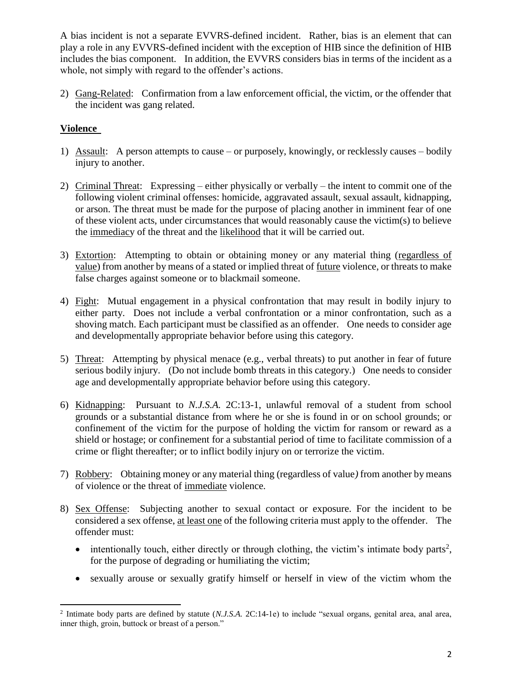A bias incident is not a separate EVVRS-defined incident. Rather, bias is an element that can play a role in any EVVRS-defined incident with the exception of HIB since the definition of HIB includes the bias component. In addition, the EVVRS considers bias in terms of the incident as a whole, not simply with regard to the offender's actions.

2) Gang-Related: Confirmation from a law enforcement official, the victim, or the offender that the incident was gang related.

# **Violence**

- 1) Assault: A person attempts to cause or purposely*,* knowingly, or recklessly causes bodily injury to another.
- 2) Criminal Threat: Expressing either physically or verbally the intent to commit one of the following violent criminal offenses: homicide, aggravated assault, sexual assault, kidnapping, or arson. The threat must be made for the purpose of placing another in imminent fear of one of these violent acts, under circumstances that would reasonably cause the victim(s) to believe the immediacy of the threat and the likelihood that it will be carried out.
- 3) Extortion: Attempting to obtain or obtaining money or any material thing (regardless of value) from another by means of a stated or implied threat of future violence, or threats to make false charges against someone or to blackmail someone.
- 4) Fight: Mutual engagement in a physical confrontation that may result in bodily injury to either party. Does not include a verbal confrontation or a minor confrontation, such as a shoving match. Each participant must be classified as an offender. One needs to consider age and developmentally appropriate behavior before using this category.
- 5) Threat: Attempting by physical menace (e.g., verbal threats) to put another in fear of future serious bodily injury. (Do not include bomb threats in this category.) One needs to consider age and developmentally appropriate behavior before using this category.
- 6) Kidnapping: Pursuant to *N.J.S.A.* 2C:13-1, unlawful removal of a student from school grounds or a substantial distance from where he or she is found in or on school grounds; or confinement of the victim for the purpose of holding the victim for ransom or reward as a shield or hostage; or confinement for a substantial period of time to facilitate commission of a crime or flight thereafter; or to inflict bodily injury on or terrorize the victim.
- 7) Robbery: Obtaining money or any material thing (regardless of value*)* from another by means of violence or the threat of immediate violence.
- 8) Sex Offense: Subjecting another to sexual contact or exposure. For the incident to be considered a sex offense, at least one of the following criteria must apply to the offender. The offender must:
	- $\bullet$  intentionally touch, either directly or through clothing, the victim's intimate body parts<sup>2</sup>, for the purpose of degrading or humiliating the victim;
	- sexually arouse or sexually gratify himself or herself in view of the victim whom the

 2 Intimate body parts are defined by statute (*N.J.S.A.* 2C:14-1e) to include "sexual organs, genital area, anal area, inner thigh, groin, buttock or breast of a person."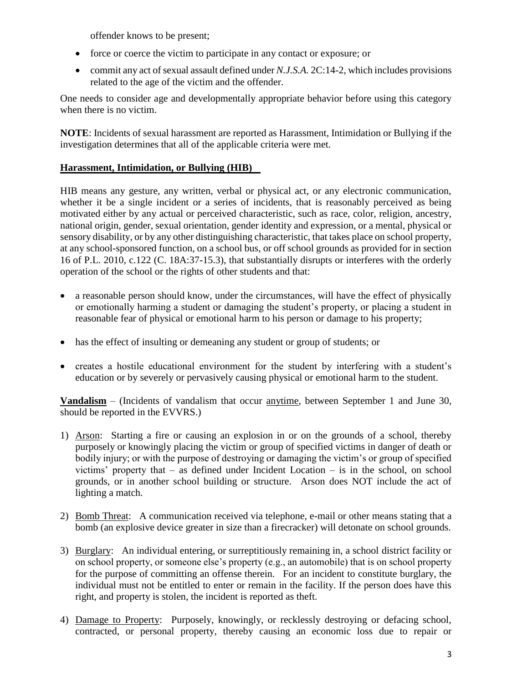offender knows to be present;

- force or coerce the victim to participate in any contact or exposure; or
- commit any act of sexual assault defined under *N.J.S.A.* 2C:14-2, which includes provisions related to the age of the victim and the offender.

One needs to consider age and developmentally appropriate behavior before using this category when there is no victim.

**NOTE**: Incidents of sexual harassment are reported as Harassment, Intimidation or Bullying if the investigation determines that all of the applicable criteria were met.

### **Harassment, Intimidation, or Bullying (HIB)**

HIB means any gesture, any written, verbal or physical act, or any electronic communication, whether it be a single incident or a series of incidents, that is reasonably perceived as being motivated either by any actual or perceived characteristic, such as race, color, religion, ancestry, national origin, gender, sexual orientation, gender identity and expression, or a mental, physical or sensory disability, or by any other distinguishing characteristic, that takes place on school property, at any school-sponsored function, on a school bus, or off school grounds as provided for in section 16 of P.L. 2010, c.122 (C. 18A:37-15.3), that substantially disrupts or interferes with the orderly operation of the school or the rights of other students and that:

- a reasonable person should know, under the circumstances, will have the effect of physically or emotionally harming a student or damaging the student's property, or placing a student in reasonable fear of physical or emotional harm to his person or damage to his property;
- has the effect of insulting or demeaning any student or group of students; or
- creates a hostile educational environment for the student by interfering with a student's education or by severely or pervasively causing physical or emotional harm to the student.

**Vandalism** – (Incidents of vandalism that occur anytime, between September 1 and June 30, should be reported in the EVVRS.)

- 1) Arson: Starting a fire or causing an explosion in or on the grounds of a school, thereby purposely or knowingly placing the victim or group of specified victims in danger of death or bodily injury; or with the purpose of destroying or damaging the victim's or group of specified victims' property that – as defined under Incident Location – is in the school, on school grounds, or in another school building or structure. Arson does NOT include the act of lighting a match.
- 2) Bomb Threat: A communication received via telephone, e-mail or other means stating that a bomb (an explosive device greater in size than a firecracker) will detonate on school grounds.
- 3) Burglary: An individual entering, or surreptitiously remaining in, a school district facility or on school property, or someone else's property (e.g., an automobile) that is on school property for the purpose of committing an offense therein. For an incident to constitute burglary, the individual must not be entitled to enter or remain in the facility. If the person does have this right, and property is stolen, the incident is reported as theft.
- 4) Damage to Property: Purposely, knowingly, or recklessly destroying or defacing school, contracted, or personal property, thereby causing an economic loss due to repair or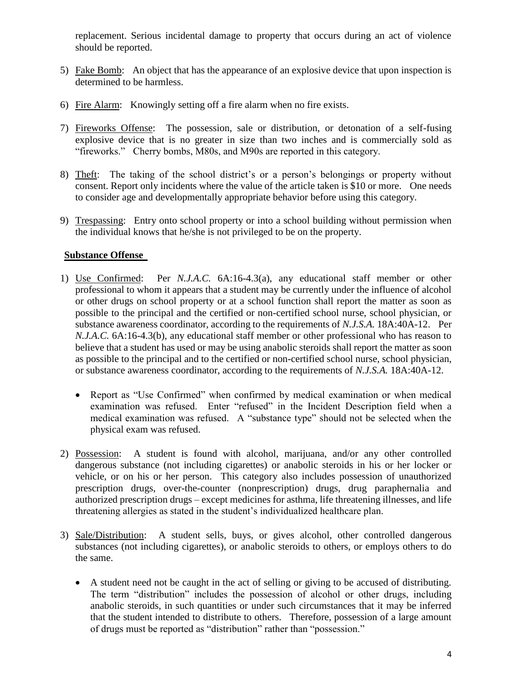replacement. Serious incidental damage to property that occurs during an act of violence should be reported.

- 5) Fake Bomb: An object that has the appearance of an explosive device that upon inspection is determined to be harmless.
- 6) Fire Alarm: Knowingly setting off a fire alarm when no fire exists.
- 7) Fireworks Offense: The possession, sale or distribution, or detonation of a self-fusing explosive device that is no greater in size than two inches and is commercially sold as "fireworks." Cherry bombs, M80s, and M90s are reported in this category.
- 8) Theft: The taking of the school district's or a person's belongings or property without consent. Report only incidents where the value of the article taken is \$10 or more. One needs to consider age and developmentally appropriate behavior before using this category.
- 9) Trespassing: Entry onto school property or into a school building without permission when the individual knows that he/she is not privileged to be on the property.

### **Substance Offense**

- 1) Use Confirmed: Per *N.J.A.C.* 6A:16-4.3(a), any educational staff member or other professional to whom it appears that a student may be currently under the influence of alcohol or other drugs on school property or at a school function shall report the matter as soon as possible to the principal and the certified or non-certified school nurse, school physician, or substance awareness coordinator, according to the requirements of *N.J.S.A.* 18A:40A-12. Per *N.J.A.C.* 6A:16-4.3(b), any educational staff member or other professional who has reason to believe that a student has used or may be using anabolic steroids shall report the matter as soon as possible to the principal and to the certified or non-certified school nurse, school physician, or substance awareness coordinator, according to the requirements of *N.J.S.A.* 18A:40A-12.
	- Report as "Use Confirmed" when confirmed by medical examination or when medical examination was refused. Enter "refused" in the Incident Description field when a medical examination was refused. A "substance type" should not be selected when the physical exam was refused.
- 2) Possession: A student is found with alcohol, marijuana, and/or any other controlled dangerous substance (not including cigarettes) or anabolic steroids in his or her locker or vehicle, or on his or her person. This category also includes possession of unauthorized prescription drugs, over-the-counter (nonprescription) drugs, drug paraphernalia and authorized prescription drugs – except medicines for asthma, life threatening illnesses, and life threatening allergies as stated in the student's individualized healthcare plan.
- 3) Sale/Distribution: A student sells, buys, or gives alcohol, other controlled dangerous substances (not including cigarettes), or anabolic steroids to others, or employs others to do the same.
	- A student need not be caught in the act of selling or giving to be accused of distributing. The term "distribution" includes the possession of alcohol or other drugs, including anabolic steroids, in such quantities or under such circumstances that it may be inferred that the student intended to distribute to others. Therefore, possession of a large amount of drugs must be reported as "distribution" rather than "possession."